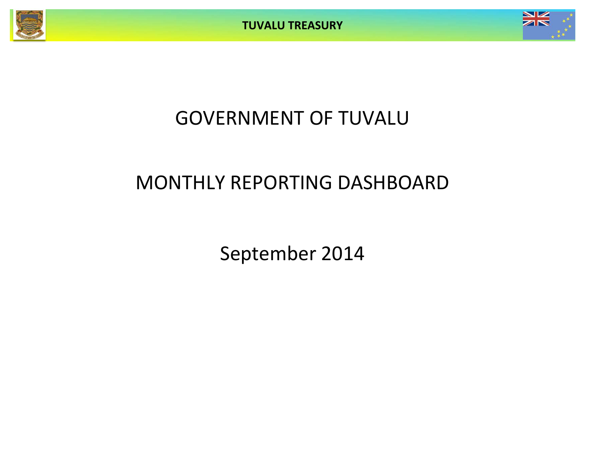

# GOVERNMENT OF TUVALU

# MONTHLY REPORTING DASHBOARD

September 2014

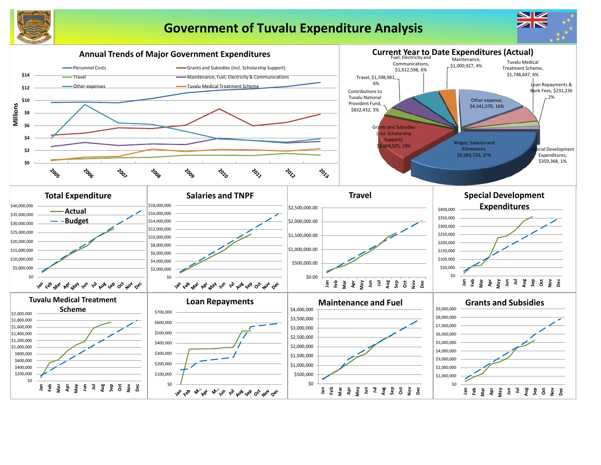

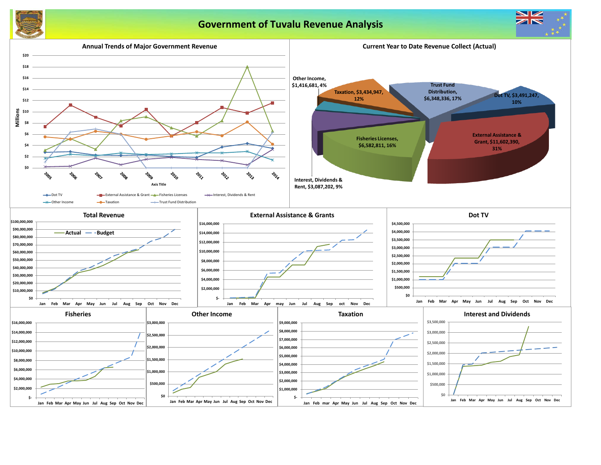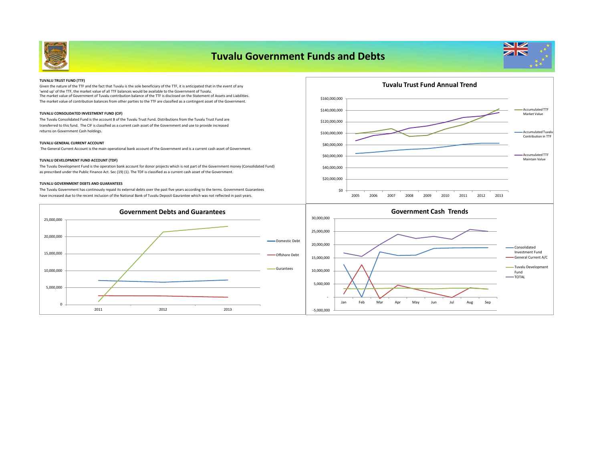

| <b>TUVALU TRUST FUND (TTF)</b>                                                                                                                                                                                                                  |               |  |
|-------------------------------------------------------------------------------------------------------------------------------------------------------------------------------------------------------------------------------------------------|---------------|--|
| Given the nature of the TTF and the fact that Tuvalu is the sole beneficiary of the TTF, it is anticipated that in the event of any                                                                                                             |               |  |
| 'wind up' of the TTF, the market value of all TTF balances would be available to the Government of Tuvalu.<br>The market value of Government of Tuvalu contribution balance of the TTF is disclosed on the Statement of Assets and Liabilities. |               |  |
| The market value of contribution balances from other parties to the TTF are classified as a contingent asset of the Government.                                                                                                                 | \$160,000,000 |  |
| TUVALU CONSOLIDATED INVESTMENT FUND (CIF)                                                                                                                                                                                                       | \$140,000,000 |  |
| The Tuvalu Consolidated Fund is the account B of the Tuvalu Trust Fund. Distributions from the Tuvalu Trust Fund are<br>transferred to this fund. The CIF is classified as a current cash asset of the Government and use to provide increased  | \$120,000,000 |  |
| returns on Government Cash holdings.                                                                                                                                                                                                            | \$100,000,000 |  |
| <b>TUVALU GENERAL CURRENT ACCOUNT</b>                                                                                                                                                                                                           | \$80,000,000  |  |
| The General Current Account is the main operational bank account of the Government and is a current cash asset of Government.                                                                                                                   |               |  |
| TUVALU DEVELOPMENT FUND ACCOUNT (TDF)                                                                                                                                                                                                           | \$60,000,000  |  |
| The Tuvalu Development Fund is the operation bank account for donor projects which is not part of the Government money (Consolidated Fund)                                                                                                      | \$40,000,000  |  |
| as prescribed under the Public Finance Act. Sec (19) (1). The TDF is classified as a current cash asset of the Government.                                                                                                                      |               |  |
|                                                                                                                                                                                                                                                 | \$20,000,000  |  |
| <b>TUVALU GOVERNMENT DEBTS AND GUARANTEES</b>                                                                                                                                                                                                   |               |  |
| The Tuvalu Government has continously repaid its external debts over the past five years according to the terms. Government Guarantees                                                                                                          | \$0           |  |

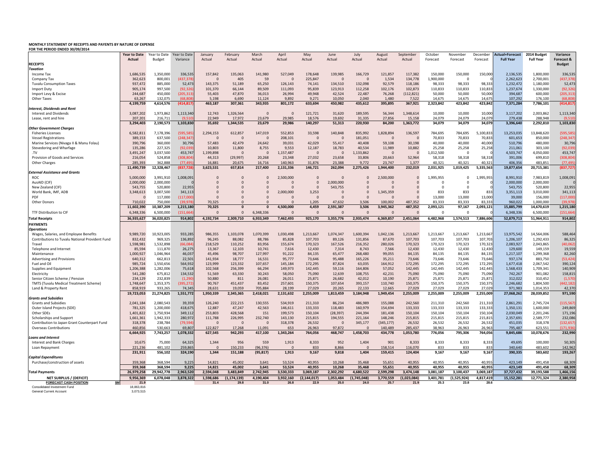## **MONTHLY STATEMENT OF RECEIPTS AND PAYENTS BY NATURE OF EXPENSE**

**FOR THE PERIOD ENDED 30/09/2014**

|                                                        | <b>Year to Date</b> | Year to Date  | Year to Date | January        | February       | March          | April     | May            | June      | July        | August     | Septembe    | October   | November    | December  | <b>Actual+Forecast</b> | 2014 Budget      | Variance      |
|--------------------------------------------------------|---------------------|---------------|--------------|----------------|----------------|----------------|-----------|----------------|-----------|-------------|------------|-------------|-----------|-------------|-----------|------------------------|------------------|---------------|
|                                                        | <b>Actual</b>       | <b>Budget</b> | Variance     | Actual         | Actual         | Actual         | Actual    | Actual         | Actual    | Actual      | Actual     | Actual      | Forecast  | Forecast    | Forecast  | <b>Full Year</b>       | <b>Full Year</b> | Forecast &    |
| <b>RECEIPTS</b>                                        |                     |               |              |                |                |                |           |                |           |             |            |             |           |             |           |                        |                  | <b>Budget</b> |
| Taxation                                               |                     |               |              |                |                |                |           |                |           |             |            |             |           |             |           |                        |                  |               |
| Income Tax                                             | 1,686,535           | 1,350,000     | 336,535      | 157,842        | 135,063        | 141,980        | 527,049   | 178,648        | 139,985   | 166,729     | 121,857    | 117,382     | 150,000   | 150,000     | 150,000   | 2,136,535              | 1,800,000        | 336,535       |
| Company Tax                                            | 362,623             | 800,001       | (437, 378)   |                | 405            | 59             |           | 225,847        | $\Omega$  |             | 1,534      | 134,778     | 1,900,000 | $\Omega$    |           | 2,262,623              | 2,700,001        | (437, 378)    |
| <b>Tuvalu Consumption Taxes</b>                        | 937,472             | 885,000       | 52,473       | 143,375        | 51,189         | 65,250         | 126,143   | 74,141         | 134,510   | 132,098     | 92,579     | 118,186     | 98,333    | 98,333      | 98,333    | 1,232,472              | 1,180,000        | 52,473        |
| Import Duty                                            | 905,174             | 997,500       | (92, 326)    | 101,370        | 66,144         | 89,509         | 111,093   | 95,839         | 123,913   | 112,258     | 102,176    | 102,873     | 110,833   | 110,833     | 110,833   | 1,237,674              | 1,330,000        | (92, 326)     |
| Import Levy & Excise                                   | 244,687             | 450,000       | (205, 313)   | 55,403         | 47,870         | 36,013         | 26,994    | 49,948         | 42,524    | 22,487      | 76,268     | (112, 821)  | 50,000    | 50,000      | 50,000    | 394,687                | 600,000          | (205, 313)    |
| <b>Other Taxes</b>                                     | 63,267              | 132,075       | (68, 808)    | 5,198          | 6,690          | 11,124         | 9,892     | 9,271          | 10,050    | 2,040       | 1,480      | 7,522       | 14,675    | 14,675      | 14,675    | 107,292                | 176,100          | (68, 808)     |
|                                                        | 4,199,759           | 4,614,576     | (414, 817)   | 463,187        | 307,361        | 343,935        | 801,172   | 633,694        | 450,982   | 435,612     | 395,895    | 367,921     | 2,323,842 | 423,842     | 423,842   | 7,371,284              | 7,786,101        | (414, 817)    |
| <b>Interest, Dividends and Rent</b>                    |                     |               |              |                |                |                |           |                |           |             |            |             |           |             |           |                        |                  |               |
| Interest and Dividends                                 | 3,087,202           | 1,973,862     | 1,113,340    | 12,743         | 1,326,564      | - 0            | $\Omega$  | 121,721        | 31,620    | 189,595     | 56,344     | 1,348,614   | 10,000    | 10,000      | 10,000    | 3,117,202              | 2,003,862        | 1,113,340     |
| Lease, rent and hire                                   | 207,201             | 216,711       | (9,510)      | 22,949         | 17,972         | 23,679         | 29,985    | 18,576         | 19,692    | 31,335      | 27,856     | 15,158      | 24,079    | 24,079      | 24,079    | 279,438                | 288,948          | (9,510)       |
|                                                        | 3,294,403           | 2,190,573     | 1,103,830    | 35,692         | 1,344,535      | 23,679         | 29,986    | 140,297        | 51,313    | 220,930     | 84,200     | 1,363,772   | 34,079    | 34,079      | 34,079    | 3,396,640              | 2,292,810        | 1,103,830     |
| <b>Other Government Charges</b>                        |                     |               |              |                |                |                |           |                |           |             |            |             |           |             |           |                        |                  |               |
| <b>Fisheries Licenses</b>                              | 6,582,811           | 7,178,396     | (595, 585)   | 2,294,153      | 612,857        | 147,019        | 552,853   | 33,598         | 140,848   | 835,992     | 1,828,894  | 136,597     | 784,695   | 784,695     | 5,100,833 | 13,253,035             | 13,848,620       | (595, 585)    |
| <b>Vessel Registrations</b>                            | 389,153             | 637,500       | (248, 347)   |                | $\overline{0}$ | $\overline{0}$ | 208,101   | $\overline{0}$ |           | 181,051     | -0         |             | 70,833    | 70,833      | 70,833    | 601,653                | 850,000          | (248, 347)    |
| Marine Services (Nivaga II & Manu Folau)               | 390,796             | 360,000       | 30,796       | 57,483         | 42,479         | 24,642         | 39,031    | 42,029         | 55,417    | 40,408      | 59,108     | 30,198      | 40,000    | 40,000      | 40,000    | 510,796                | 480,000          | 30,796        |
| Stevedoring and Wharfage                               | 135,286             | 227,325       | (92, 039)    | 10,803         | 11,800         | 8,755          | 9,553     | 12,187         | 18,783    | 40,534      | 11,989     | 10,882      | 25,258    | 25,258      | 25,258    | 211,061                | 303,100          | (92,039)      |
| .TV                                                    | 3,491,247           | 3,037,500     | 453,747      | 1,199,898      | $\Omega$       | - 0            | 1,157,487 | -0             |           | 1,133,862   | -0         |             | 1,012,500 | $\Omega$    | - 0       | 4,503,747              | 4,050,000        | 453,747       |
| Provision of Goods and Services                        | 216,054             | 524,858       | (308,804     | 44,313         | (29, 997)      | 20,268         | 23,348    | 27,032         | 23,658    | 33,806      | 20,663     | 52,964      | 58,318    | 58,318      | 58,318    | 391,006                | 699,810          | (308, 804)    |
| <b>Other Charges</b>                                   | 285,393             | 362,888       | (77, 495)    | 16,881         | 20,675         | 16,716         | 140,963   | 31,876         | 23,388    | 9,772       | 23,747     | 1,377       | 40,321    | 40,321      | 40,321    | 406,356                | 483,851          | (77, 495)     |
|                                                        | 11,490,739          | 12,328,467    | (837,728     | 3,623,531      | 657,814        | 217,400        | 2,131,336 | 146,721        | 262,094   | 2,275,426   | 1,944,400  | 232,019     | 2,031,925 | 1,019,425   | 5,335,563 | 19,877,654             | 20,715,381       | (837, 727)    |
| <b>External Assistance and Grants</b>                  |                     |               |              |                |                |                |           |                |           |             |            |             |           |             |           |                        |                  |               |
| <b>ROC</b>                                             | 5,000,000           | 3,991,910     | 1,008,091    |                |                | $\overline{0}$ | 2,500,000 | 0              | 0         | $\Omega$    | 2,500,000  |             | 1,995,955 | $\Omega$    | 1,995,955 | 8,991,910              | 7,983,819        | 1,008,091     |
| AusAID (CIF)                                           | 2,000,000           | 2,000,000     |              |                |                | - 0            |           | $\Omega$       | 2,000,000 |             |            |             |           | $\Omega$    |           | 2,000,000              | 2,000,000        |               |
| New Zealand (CIF)                                      | 543,755             | 520,800       | 22,955       |                |                | $\Omega$       |           | $\Omega$       | 543,755   |             |            |             | $\Omega$  | $\Omega$    |           | 543,755                | 520,800          | 22,955        |
| World Bank, IMF, ADB                                   | 3,348,613           | 3,007,500     | 341,113      |                |                | $\Omega$       | 2,000,000 | 3,253          |           | $\Omega$    | 1,345,359  |             | 833       | 833         | 833       | 3,351,113              | 3,010,000        | 341,113       |
| <b>PDF</b>                                             |                     | 117,000       | (117,000)    |                |                | $\Omega$       |           | $\Omega$       |           |             |            |             | 13,000    | 13,000      | 13,000    | 39,000                 | 156,000          | (117,000)     |
| <b>Other Donors</b>                                    | 710,022             | 750,000       | (39, 978)    | 70,325         | $\Omega$       | $\Omega$       |           | 1,205          | 47,632    | 3,506       | 100,002    | 487,352     | 83,333    | 83,333      | 83,333    | 960,022                | 1,000,000        | (39, 978)     |
|                                                        | 11,602,390          | 10,387,209    | 1,215,180    | 70,325         | $\Omega$       |                | 4,500,000 | 4,459          | 2,591,387 | 3,506       | 3,945,362  | 487,352     | 2,093,121 | 97,167      | 2,093,121 | 15,885,799             | 14,670,619       | 1,215,180     |
| TTF Distribution to CIF                                | 6,348,336           | 6,500,000     | (151, 664)   | $\Omega$       | $\Omega$       | 6,348,336      | $\Omega$  | $\Omega$       |           |             | $\Omega$   |             | $\Omega$  | $\Omega$    |           | 6,348,336              | 6,500,000        | (151, 664)    |
| <b>Total Receipts</b>                                  | 36,935,627          | 36,020,825    | 914,802      | 4,192,734      | 2,309,710      | 6,933,349      | 7,462,493 | 925,170        | 3,355,776 | 2,935,474   | 6,369,857  | 2,451,064   | 6,482,968 | 1,574,513   | 7,886,606 | 52,879,713             | 51,964,911       | 914,802       |
| <b>PAYMENTS</b>                                        |                     |               |              |                |                |                |           |                |           |             |            |             |           |             |           |                        |                  |               |
| <b>Operations</b>                                      |                     |               |              |                |                |                |           |                |           |             |            |             |           |             |           |                        |                  |               |
| Wages, Salaries, and Employee Benefits                 | 9,989,720           | 10,923,005    | 933,285      | 986,355        | 1,103,078      | 1,070,399      | 1,030,498 | 1,213,667      | 1,074,347 | 1,600,394   | 1,042,136  | 1,213,667   | 1,213,667 | 1,213,667   | 1,213,667 | 13,975,542             | 14,564,006       | 588,464       |
| <b>Contributions to Tuvalu National Provident Fund</b> | 832,432             | 969,325       | 136,892      | 96,245         | 88,082         | 88,786         | 85,828    | 107,703        | 89,126    | 131,856     | 87,670     | 107,703     | 107,703   | 107,703     | 107,703   | 1,206,107              | 1,292,433        | 86,325        |
| Travel                                                 | 1,598,981           | 1,532,898     | (66, 084)    | 218,529        | 110,252        | 83,956         | 155,674   | 170,323        | 167,526   | 216,352     | 280,026    | 170,323     | 170,323   | 170,323     | 170,323   | 2,083,927              | 2,043,865        | (40,062)      |
| Telephone and Internet                                 | 85,594              | 111,870       | 26,275       | 13,367         | 12,103         | 10,741         | 7,616     | 12,430         | 7,314     | 8,743       | 7,566      | 12,430      | 12,430    | 12,430      | 12,430    | 129,600                | 149,159          | 19,559        |
| Maintenance                                            | 1,000,927           | 1,046,964     | 46,037       | 45,496         | 98,707         | 127,997        | 91,222    | 84,135         | 65,477    | 268,480     | 99,055     | 84,135      | 84,135    | 84,135      | 84,135    | 1,217,107              | 1,299,368        | 82,260        |
| Advertising and Provisions                             | 640,312             | 662,813       | 22,501       | 141,934        | 18,777         | 16,531         | 95,777    | 73,646         | 95,488    | 165,226     | 35,211     | 73,646      | 73,646    | 73,646      | 73,646    | 937,174                | 883,750          | (53, 424)     |
| Fuel and Oil                                           | 985,724             | 1,550,656     | 564,932      | 123,999        | 123,332        | 107,657        | 145,184   | 172,295        | 87,824    | 63,035      | 164,912    | 172,295     | 172,295   | 172,295     | 172,295   | 1,677,418              | 2,067,542        | 390,124       |
| Supplies and Equipment                                 | 1,206,388           | 1,282,006     | 75,618       | 102,568        | 256,399        | 66,294         | 149,973   | 142,445        | 59,116    | 164,806     | 57,052     | 142,445     | 142,445   | 142,445     | 142,445   | 1,568,433              | 1,709,341        | 140,909       |
| Electricity                                            | 541,280             | 675,812       | 134,532      | 51,569         | 63,330         | 30,243         | 58,050    | 75,090         | 12,639    | 108,755     | 42,231     | 75,090      | 75,090    | 75,090      | 75,090    | 742,267                | 901,082          | 158,815       |
| Senior Citizen Scheme / Pension                        | 234,129             | 232,839       | (1, 290)     | 50,880         | 811            | 26,081         | 26,011    | 25,871         | 26,682    | 42,012      | 10,190     | 25,871      | 25,871    | 25,871      | 25,871    | 312,022                | 310,452          | (1,570)       |
| <b>TMTS (Tuvalu Medical Treatment Scheme)</b>          | 1,748,647           | 1,353,375     | (395, 272)   | 90,767         | 451,437        | 83,452         | 257,601   | 150,375        | 107,654   | 393,157     | 110,740    | 150,375     | 150,375   | 150,375     | 150,375   | 2,246,682              | 1,804,500        | (442, 182)    |
| Land & Property Rent                                   | 858,919             | 933,265       | 74,345       | 28,631         | 19,059         | 705,884        | 28,199    | 27,029         | 20,265    | 22,133      | 12,665     | 27,029      | 27,029    | 27,029      | 27,029    | 971,983                | 1,014,353        | 42,370        |
|                                                        | 19,723,053          | 21,274,825    | 1,551,772    | 1,950,339      | 2,345,365      | 2,418,021      | 2,131,632 | 2,255,009      | 1,813,459 | 3,184,948   | 1,949,454  | 2,255,009   | 2,255,009 | 2,255,009   | 2,255,009 | 27,068,262             | 28,039,852       | 971,590       |
| <b>Grants and Subsidies</b>                            |                     |               |              |                |                |                |           |                |           |             |            |             |           |             |           |                        |                  |               |
| <b>Grants and Subsidies</b>                            | 2,041,184           | 2,080,543     | 39,359       | 126,240        | 222,215        | 130,555        | 534,919   | 211,310        | 86,234    | 486,989     | 155,088    | 242,560     | 211,310   | 242,560     | 211,310   | 2,861,291              | 2,745,724        | (115, 567)    |
| Outer Island Projects (SDE)                            | 781,325             | 1,200,000     | 418,675      | 12,887         | 47,247         | 42,563         | 146,611   | 133,333        | 118,483   | 160,979     | 154,694    | 133,333     | 133,333   | 133,333     | 133,333   | 1,350,131              | 1,600,000        | 249,869       |
| Other SDEs                                             | 1,401,822           | 1,750,934     | 349,112      | 253,803        | 428,568        | 151            | 199,573   | 150,104        | (28, 397) | 244,394     | 181,438    | 150,104     | 150,104   | 150,104     | 150,104   | 2,030,049              | 2,201,246        | 171,196       |
| Scholarships and Support                               | 1,661,361           | 1,942,333     | 280,972      | 111,788        | 226,995        | 232,740        | 143,130   | 215,815        | 194,555   | 221,164     | 148,246    | 215,815     | 215,815   | 215,815     | 215,815   | 2,357,691              | 2,589,777        | 232,086       |
| Contribution to Japan Grant Counterpart Fund           | 318,378             | 238,784       | (79, 594)    | $\overline{0}$ | $\overline{0}$ | - 0            | 318,378   | 26,532         |           | 345,177     | (345, 177) | 26,532      | 26,532    | 26,532      | 26,532    | 451,035                | 318,378          | (132, 657)    |
| <b>Overseas Contributions</b>                          | 460,856             | 530,663       | 69,807       | 122,827        | 17,268         | 11,091         | 653       | 26,963         | 97,872    |             | 140,489    | 285,437     | 38,963    | 26,963      | 26,963    | 795,487                | 623,551          | (171, 936)    |
|                                                        | 6,664,925           | 7,743,257     | 1,078,332    | 627,545        | 942,293        | 417,100        | 1,343,264 | 764,056        | 468,747   | 1,458,703   | 434,778    | 1,053,780   | 776,056   | 795,306     | 764,056   | 9,845,686              | 10,078,676       | 232,990       |
| <b>Loans and Interest</b>                              |                     |               |              |                |                |                |           |                |           |             |            |             |           |             |           |                        |                  |               |
| Interest and Bank Charges                              | 10,675              | 75,000        | 64,325       | 1,344          | 956            | 559            | 1,913     | 8,333          | 952       | 1,404       | 901        | 8,333       | 8,333     | 8,333       | 8,333     | 49,695                 | 100,000          | 50,305        |
| Loan Repayment                                         | 221,236             | 481,102       | 259,865      |                | 150,233        | (96, 376)      | $\Omega$  | 833            | 8,866     |             | 158,514    | 116,070     | 833       | 833         | 833       | 340,640                | 483,602          | 142,962       |
|                                                        | 231,911             | 556,102       | 324,190      | 1,344          | 151,188        | (95, 817)      | 1,913     | 9,167          | 9,818     | 1,404       | 159,415    | 124,404     | 9,167     | 9,167       | 9,167     | 390,335                | 583,602          | 193,267       |
| <b>Capital Expenditures</b>                            |                     |               |              |                |                |                |           |                |           |             |            |             |           |             |           |                        |                  |               |
| Purchase/construction of assets                        | 359,368             | 368,594       | 9,225        | 14,821         | 45,002         | 3,641          | 53,524    | 40,955         | 10,268    | 35,468      | 55,651     | 40,955      | 40,955    | 40,955      | 40,955    | 423,149                | 491,458          | 68,309        |
|                                                        | 359,368             | 368,594       | 9,225        | 14,821         | 45,002         | 3,641          | 53,524    | 40,955         | 10,268    | 35,468      | 55,651     | 40,955      | 40,955    | 40,955      | 40,955    | 423,149                | 491,458          | 68,309        |
| <b>Total Payments</b>                                  | 26,979,258          | 29,942,778    | 2,963,520    | 2,594,048      | 3,483,849      | 2,742,945      | 3,530,333 | 3,069,187      | 2,302,292 | 4,680,522   | 2,599,298  | 3,474,148   | 3,081,187 | 3,100,437   | 3,069,187 | 37,727,432             | 39,193,588       | 1,466,156     |
| <b>NET SURPLUS / (DEFICIT)</b>                         | 9,956,369           | 6,078,048     | 3,878,322    | 1,598,686      | (1, 174, 139)  | 4,190,404      | 3,932,160 | (2, 144, 017)  | 1,053,484 | (1,745,048) | 3,770,559  | (1,023,084) | 3,401,781 | (1,525,924) | 4,817,419 | 15,152,281             | 12,771,324       | 2,380,958     |
| <b>FORECAST CASH POSITION</b>                          | <u>\$M</u><br>21.9  |               |              | 31.4           | 29.8           | 31.0           | 26.8      | 22.9           | 25.0      | 24.0        | 25.7       | 21.9        | 25.3      | 23.8        | 28.6      |                        |                  |               |
| <b>Consolidated Investment Fund</b>                    | 18,863,816          |               |              |                |                |                |           |                |           |             |            |             |           |             |           |                        |                  |               |
| <b>General Current Accoun</b>                          | 3,073,515           |               |              |                |                |                |           |                |           |             |            |             |           |             |           |                        |                  |               |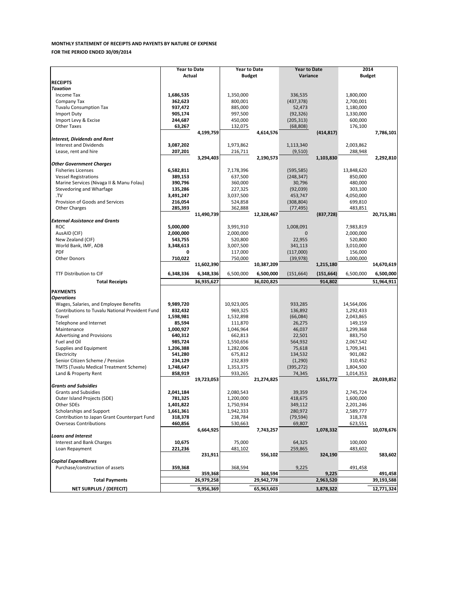|                                                                                           | <b>Year to Date</b>  |            | <b>Year to Date</b> |            | <b>Year to Date</b> |            | 2014          |            |
|-------------------------------------------------------------------------------------------|----------------------|------------|---------------------|------------|---------------------|------------|---------------|------------|
|                                                                                           | Actual               |            | <b>Budget</b>       |            | Variance            |            | <b>Budget</b> |            |
| <b>RECEIPTS</b>                                                                           |                      |            |                     |            |                     |            |               |            |
| <b>Taxation</b>                                                                           |                      |            |                     |            |                     |            |               |            |
| Income Tax                                                                                | 1,686,535            |            | 1,350,000           |            | 336,535             |            | 1,800,000     |            |
| Company Tax                                                                               | 362,623              |            | 800,001             |            | (437, 378)          |            | 2,700,001     |            |
| <b>Tuvalu Consumption Tax</b>                                                             | 937,472              |            | 885,000             |            | 52,473              |            | 1,180,000     |            |
| <b>Import Duty</b>                                                                        | 905,174              |            | 997,500             |            | (92, 326)           |            | 1,330,000     |            |
| Import Levy & Excise                                                                      | 244,687              |            | 450,000             |            | (205, 313)          |            | 600,000       |            |
| <b>Other Taxes</b>                                                                        | 63,267               |            | 132,075             |            | (68, 808)           |            | 176,100       |            |
|                                                                                           |                      | 4,199,759  |                     | 4,614,576  |                     | (414, 817) |               | 7,786,101  |
| <b>Interest, Dividends and Rent</b><br><b>Interest and Dividends</b>                      |                      |            |                     |            |                     |            |               |            |
|                                                                                           | 3,087,202            |            | 1,973,862           |            | 1,113,340           |            | 2,003,862     |            |
| Lease, rent and hire                                                                      | 207,201              |            | 216,711             |            | (9,510)             |            | 288,948       |            |
| <b>Other Government Charges</b>                                                           |                      | 3,294,403  |                     | 2,190,573  |                     | 1,103,830  |               | 2,292,810  |
| <b>Fisheries Licenses</b>                                                                 | 6,582,811            |            | 7,178,396           |            | (595, 585)          |            | 13,848,620    |            |
| <b>Vessel Registrations</b>                                                               | 389,153              |            | 637,500             |            | (248, 347)          |            | 850,000       |            |
| Marine Services (Nivaga II & Manu Folau)                                                  | 390,796              |            | 360,000             |            | 30,796              |            | 480,000       |            |
| Stevedoring and Wharfage                                                                  | 135,286              |            | 227,325             |            | (92,039)            |            | 303,100       |            |
| TV                                                                                        | 3,491,247            |            | 3,037,500           |            | 453,747             |            | 4,050,000     |            |
| Provision of Goods and Services                                                           | 216,054              |            | 524,858             |            | (308, 804)          |            | 699,810       |            |
| <b>Other Charges</b>                                                                      | 285,393              |            | 362,888             |            | (77, 495)           |            | 483,851       |            |
|                                                                                           |                      | 11,490,739 |                     |            |                     | (837, 728) |               | 20,715,381 |
| <b>External Assistance and Grants</b>                                                     |                      |            |                     | 12,328,467 |                     |            |               |            |
| <b>ROC</b>                                                                                | 5,000,000            |            | 3,991,910           |            | 1,008,091           |            | 7,983,819     |            |
| AusAID (CIF)                                                                              | 2,000,000            |            | 2,000,000           |            | $\Omega$            |            | 2,000,000     |            |
| New Zealand (CIF)                                                                         | 543,755              |            | 520,800             |            | 22,955              |            | 520,800       |            |
| World Bank, IMF, ADB                                                                      | 3,348,613            |            | 3,007,500           |            | 341,113             |            | 3,010,000     |            |
| PDF                                                                                       | 0                    |            | 117,000             |            | (117,000)           |            | 156,000       |            |
| <b>Other Donors</b>                                                                       | 710,022              |            | 750,000             |            | (39, 978)           |            | 1,000,000     |            |
|                                                                                           |                      | 11,602,390 |                     | 10,387,209 |                     | 1,215,180  |               | 14,670,619 |
|                                                                                           |                      |            |                     |            |                     |            |               |            |
| <b>TTF Distribution to CIF</b>                                                            | 6,348,336            | 6,348,336  | 6,500,000           | 6,500,000  | (151, 664)          | (151, 664) | 6,500,000     | 6,500,000  |
| <b>Total Receipts</b>                                                                     |                      | 36,935,627 |                     | 36,020,825 |                     | 914,802    |               | 51,964,911 |
| <b>PAYMENTS</b>                                                                           |                      |            |                     |            |                     |            |               |            |
| <b>Operations</b>                                                                         |                      |            |                     |            |                     |            |               |            |
|                                                                                           |                      |            | 10,923,005          |            |                     |            | 14,564,006    |            |
| Wages, Salaries, and Employee Benefits<br>Contributions to Tuvalu National Provident Fund | 9,989,720<br>832,432 |            | 969,325             |            | 933,285<br>136,892  |            | 1,292,433     |            |
| Travel                                                                                    | 1,598,981            |            | 1,532,898           |            | (66,084)            |            | 2,043,865     |            |
| Telephone and Internet                                                                    | 85,594               |            | 111,870             |            | 26,275              |            | 149,159       |            |
| Maintenance                                                                               | 1,000,927            |            | 1,046,964           |            | 46,037              |            | 1,299,368     |            |
| <b>Advertising and Provisions</b>                                                         | 640,312              |            | 662,813             |            | 22,501              |            | 883,750       |            |
| Fuel and Oil                                                                              | 985,724              |            | 1,550,656           |            | 564,932             |            | 2,067,542     |            |
| Supplies and Equipment                                                                    | 1,206,388            |            | 1,282,006           |            | 75,618              |            | 1,709,341     |            |
| Electricity                                                                               | 541,280              |            | 675,812             |            | 134,532             |            | 901,082       |            |
| Senior Citizen Scheme / Pension                                                           | 234,129              |            | 232,839             |            | (1, 290)            |            | 310,452       |            |
| <b>TMTS (Tuvalu Medical Treatment Scheme)</b>                                             | 1,748,647            |            | 1,353,375           |            | (395, 272)          |            | 1,804,500     |            |
| Land & Property Rent                                                                      | 858,919              |            | 933,265             |            | 74,345              |            | 1,014,353     |            |
|                                                                                           |                      | 19,723,053 |                     | 21,274,825 |                     | 1,551,772  |               | 28,039,852 |
| <b>Grants and Subsidies</b>                                                               |                      |            |                     |            |                     |            |               |            |
| <b>Grants and Subsidies</b>                                                               | 2,041,184            |            | 2,080,543           |            | 39,359              |            | 2,745,724     |            |
| Outer Island Projects (SDE)                                                               | 781,325              |            | 1,200,000           |            | 418,675             |            | 1,600,000     |            |
| Other SDEs                                                                                | 1,401,822            |            | 1,750,934           |            | 349,112             |            | 2,201,246     |            |
| Scholarships and Support                                                                  | 1,661,361            |            | 1,942,333           |            | 280,972             |            | 2,589,777     |            |
| Contribution to Japan Grant Counterpart Fund                                              | 318,378              |            | 238,784             |            | (79, 594)           |            | 318,378       |            |
| <b>Overseas Contributions</b>                                                             | 460,856              |            | 530,663             |            | 69,807              |            | 623,551       |            |
|                                                                                           |                      | 6,664,925  |                     | 7,743,257  |                     | 1,078,332  |               | 10,078,676 |
| <b>Loans and Interest</b>                                                                 |                      |            |                     |            |                     |            |               |            |
| Interest and Bank Charges                                                                 | 10,675               |            | 75,000              |            | 64,325              |            | 100,000       |            |
| Loan Repayment                                                                            | 221,236              |            | 481,102             |            | 259,865             |            | 483,602       |            |
|                                                                                           |                      | 231,911    |                     | 556,102    |                     | 324,190    |               | 583,602    |
| <b>Capital Expenditures</b>                                                               |                      |            |                     |            |                     |            |               |            |
| Purchase/construction of assets                                                           | 359,368              |            | 368,594             |            | 9,225               |            | 491,458       |            |
|                                                                                           |                      | 359,368    |                     | 368,594    |                     | 9,225      |               | 491,458    |
| <b>Total Payments</b>                                                                     |                      | 26,979,258 |                     | 29,942,778 |                     | 2,963,520  |               | 39,193,588 |
| <b>NET SURPLUS / (DEFECIT)</b>                                                            |                      | 9,956,369  |                     | 65,963,603 |                     | 3,878,322  |               | 12,771,324 |
|                                                                                           |                      |            |                     |            |                     |            |               |            |

### **MONTHLY STATEMENT OF RECEIPTS AND PAYENTS BY NATURE OF EXPENSE FOR THE PERIOD ENDED 30/09/2014**